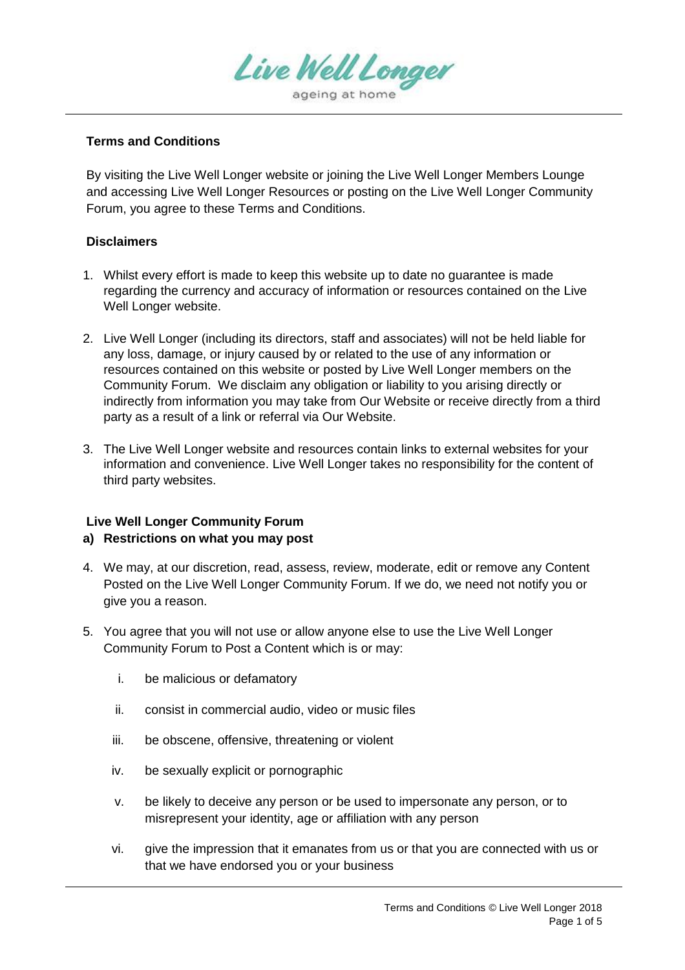

## **Terms and Conditions**

By visiting the Live Well Longer website or joining the Live Well Longer Members Lounge and accessing Live Well Longer Resources or posting on the Live Well Longer Community Forum, you agree to these Terms and Conditions.

### **Disclaimers**

- 1. Whilst every effort is made to keep this website up to date no guarantee is made regarding the currency and accuracy of information or resources contained on the Live Well Longer website.
- 2. Live Well Longer (including its directors, staff and associates) will not be held liable for any loss, damage, or injury caused by or related to the use of any information or resources contained on this website or posted by Live Well Longer members on the Community Forum. We disclaim any obligation or liability to you arising directly or indirectly from information you may take from Our Website or receive directly from a third party as a result of a link or referral via Our Website.
- 3. The Live Well Longer website and resources contain links to external websites for your information and convenience. Live Well Longer takes no responsibility for the content of third party websites.

# **Live Well Longer Community Forum**

## **a) Restrictions on what you may post**

- 4. We may, at our discretion, read, assess, review, moderate, edit or remove any Content Posted on the Live Well Longer Community Forum. If we do, we need not notify you or give you a reason.
- 5. You agree that you will not use or allow anyone else to use the Live Well Longer Community Forum to Post a Content which is or may:
	- i. be malicious or defamatory
	- ii. consist in commercial audio, video or music files
	- iii. be obscene, offensive, threatening or violent
	- iv. be sexually explicit or pornographic
	- v. be likely to deceive any person or be used to impersonate any person, or to misrepresent your identity, age or affiliation with any person
	- vi. give the impression that it emanates from us or that you are connected with us or that we have endorsed you or your business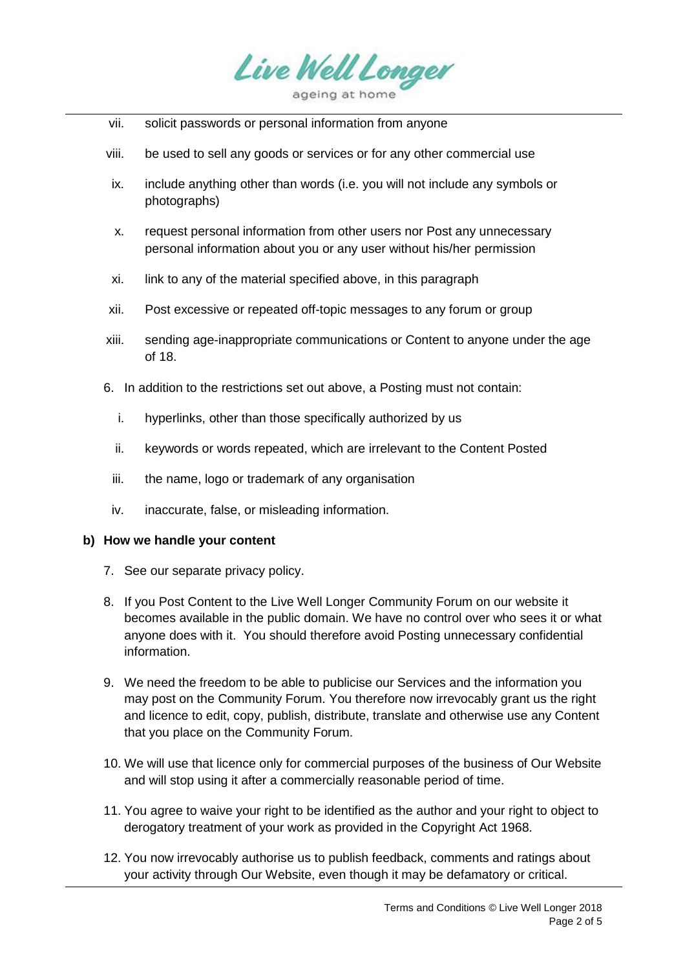

- vii. solicit passwords or personal information from anyone
- viii. be used to sell any goods or services or for any other commercial use
- ix. include anything other than words (i.e. you will not include any symbols or photographs)
- x. request personal information from other users nor Post any unnecessary personal information about you or any user without his/her permission
- xi. link to any of the material specified above, in this paragraph
- xii. Post excessive or repeated off-topic messages to any forum or group
- xiii. sending age-inappropriate communications or Content to anyone under the age of 18.
- 6. In addition to the restrictions set out above, a Posting must not contain:
	- i. hyperlinks, other than those specifically authorized by us
	- ii. keywords or words repeated, which are irrelevant to the Content Posted
	- iii. the name, logo or trademark of any organisation
	- iv. inaccurate, false, or misleading information.

#### **b) How we handle your content**

- 7. See our separate privacy policy.
- 8. If you Post Content to the Live Well Longer Community Forum on our website it becomes available in the public domain. We have no control over who sees it or what anyone does with it. You should therefore avoid Posting unnecessary confidential information.
- 9. We need the freedom to be able to publicise our Services and the information you may post on the Community Forum. You therefore now irrevocably grant us the right and licence to edit, copy, publish, distribute, translate and otherwise use any Content that you place on the Community Forum.
- 10. We will use that licence only for commercial purposes of the business of Our Website and will stop using it after a commercially reasonable period of time.
- 11. You agree to waive your right to be identified as the author and your right to object to derogatory treatment of your work as provided in the Copyright Act 1968.
- 12. You now irrevocably authorise us to publish feedback, comments and ratings about your activity through Our Website, even though it may be defamatory or critical.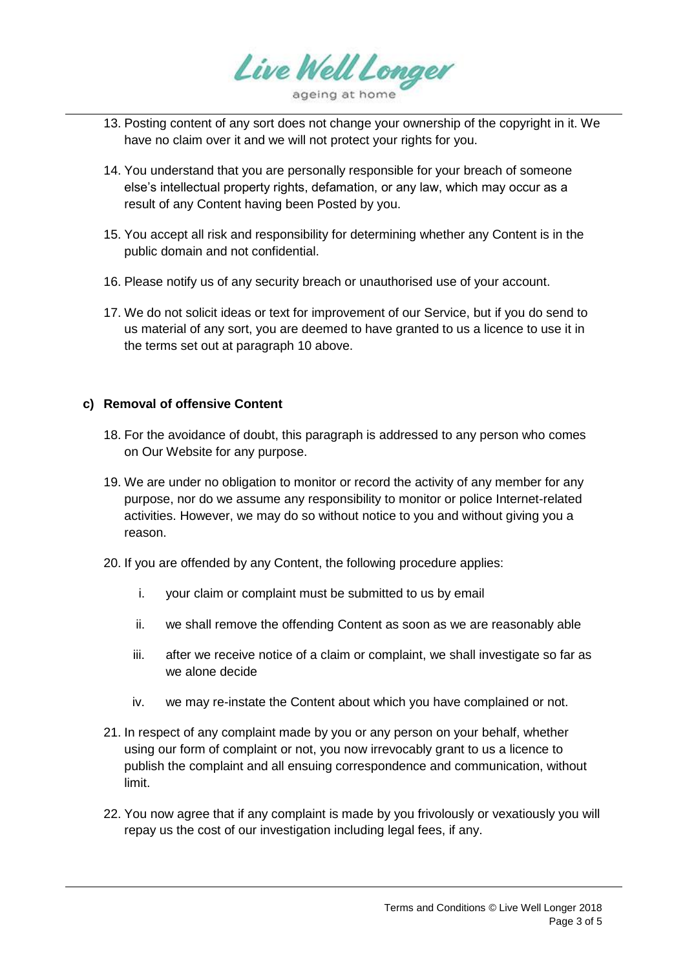

- 13. Posting content of any sort does not change your ownership of the copyright in it. We have no claim over it and we will not protect your rights for you.
- 14. You understand that you are personally responsible for your breach of someone else's intellectual property rights, defamation, or any law, which may occur as a result of any Content having been Posted by you.
- 15. You accept all risk and responsibility for determining whether any Content is in the public domain and not confidential.
- 16. Please notify us of any security breach or unauthorised use of your account.
- 17. We do not solicit ideas or text for improvement of our Service, but if you do send to us material of any sort, you are deemed to have granted to us a licence to use it in the terms set out at paragraph 10 above.

### **c) Removal of offensive Content**

- 18. For the avoidance of doubt, this paragraph is addressed to any person who comes on Our Website for any purpose.
- 19. We are under no obligation to monitor or record the activity of any member for any purpose, nor do we assume any responsibility to monitor or police Internet-related activities. However, we may do so without notice to you and without giving you a reason.
- 20. If you are offended by any Content, the following procedure applies:
	- i. your claim or complaint must be submitted to us by email
	- ii. we shall remove the offending Content as soon as we are reasonably able
	- iii. after we receive notice of a claim or complaint, we shall investigate so far as we alone decide
	- iv. we may re-instate the Content about which you have complained or not.
- 21. In respect of any complaint made by you or any person on your behalf, whether using our form of complaint or not, you now irrevocably grant to us a licence to publish the complaint and all ensuing correspondence and communication, without limit.
- 22. You now agree that if any complaint is made by you frivolously or vexatiously you will repay us the cost of our investigation including legal fees, if any.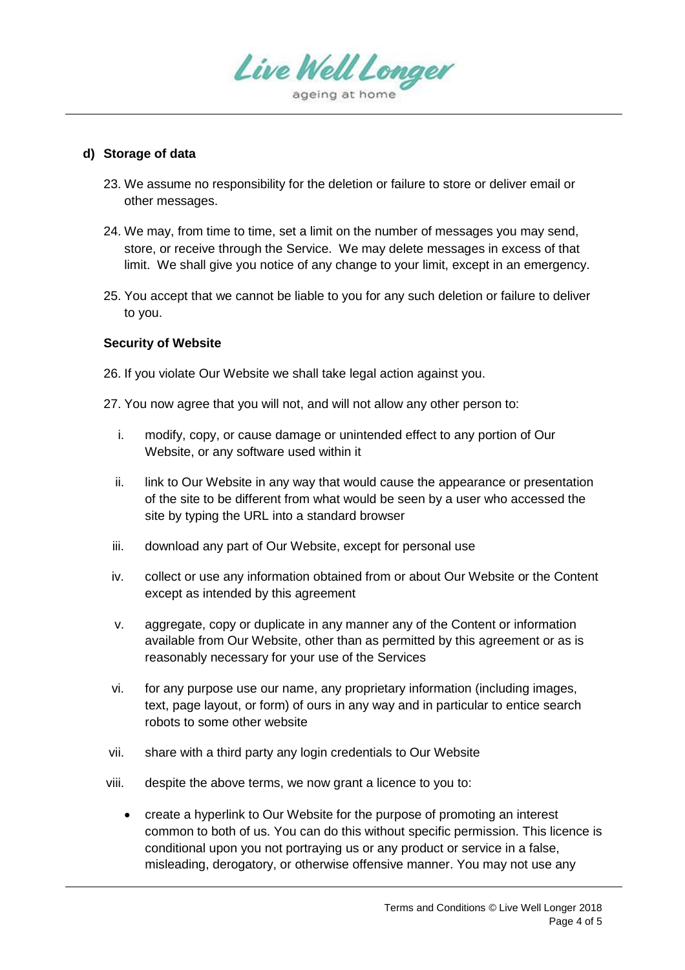

#### **d) Storage of data**

- 23. We assume no responsibility for the deletion or failure to store or deliver email or other messages.
- 24. We may, from time to time, set a limit on the number of messages you may send, store, or receive through the Service. We may delete messages in excess of that limit. We shall give you notice of any change to your limit, except in an emergency.
- 25. You accept that we cannot be liable to you for any such deletion or failure to deliver to you.

### **Security of Website**

26. If you violate Our Website we shall take legal action against you.

- 27. You now agree that you will not, and will not allow any other person to:
	- i. modify, copy, or cause damage or unintended effect to any portion of Our Website, or any software used within it
	- ii. link to Our Website in any way that would cause the appearance or presentation of the site to be different from what would be seen by a user who accessed the site by typing the URL into a standard browser
	- iii. download any part of Our Website, except for personal use
	- iv. collect or use any information obtained from or about Our Website or the Content except as intended by this agreement
	- v. aggregate, copy or duplicate in any manner any of the Content or information available from Our Website, other than as permitted by this agreement or as is reasonably necessary for your use of the Services
	- vi. for any purpose use our name, any proprietary information (including images, text, page layout, or form) of ours in any way and in particular to entice search robots to some other website
- vii. share with a third party any login credentials to Our Website
- viii. despite the above terms, we now grant a licence to you to:
	- create a hyperlink to Our Website for the purpose of promoting an interest common to both of us. You can do this without specific permission. This licence is conditional upon you not portraying us or any product or service in a false, misleading, derogatory, or otherwise offensive manner. You may not use any